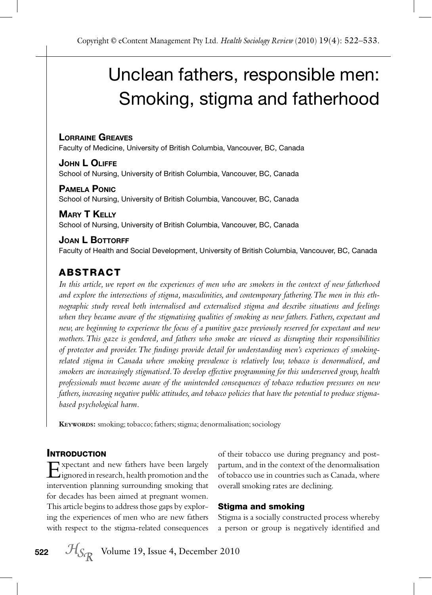### Unclean fathers, responsible men: Smoking, stigma and fatherhood

#### **LORRAINE GREAVES**

Faculty of Medicine, University of British Columbia, Vancouver, BC, Canada

**JOHN L OLIFFE** School of Nursing, University of British Columbia, Vancouver, BC, Canada

**PAMELA PONIC** School of Nursing, University of British Columbia, Vancouver, BC, Canada

**MARY T KELLY** School of Nursing, University of British Columbia, Vancouver, BC, Canada

#### **JOAN L BOTTORFF**

Faculty of Health and Social Development, University of British Columbia, Vancouver, BC, Canada

### **ABSTRACT**

*In this article, we report on the experiences of men who are smokers in the context of new fatherhood and explore the intersections of stigma, masculinities, and contemporary fathering. The men in this ethnographic study reveal both internalised and externalised stigma and describe situations and feelings when they became aware of the stigmatising qualities of smoking as new fathers. Fathers, expectant and new, are beginning to experience the focus of a punitive gaze previously reserved for expectant and new mothers. This gaze is gendered, and fathers who smoke are viewed as disrupting their responsibilities*  of protector and provider. The findings provide detail for understanding men's experiences of smoking*related stigma in Canada where smoking prevalence is relatively low, tobacco is denormalised, and smokers are increasingly stigmatised. To develop effective programming for this underserved group, health professionals must become aware of the unintended consequences of tobacco reduction pressures on new fathers, increasing negative public attitudes, and tobacco policies that have the potential to produce stigmabased psychological harm.*

**KEYWORDS:** smoking; tobacco; fathers; stigma; denormalisation; sociology

#### **INTRODUCTION**

Expectant and new fathers have been largely ignored in research, health promotion and the intervention planning surrounding smoking that for decades has been aimed at pregnant women. This article begins to address those gaps by exploring the experiences of men who are new fathers with respect to the stigma-related consequences

of their tobacco use during pregnancy and postpartum, and in the context of the denormalisation of tobacco use in countries such as Canada, where overall smoking rates are declining.

#### **Stigma and smoking**

Stigma is a socially constructed process whereby a person or group is negatively identified and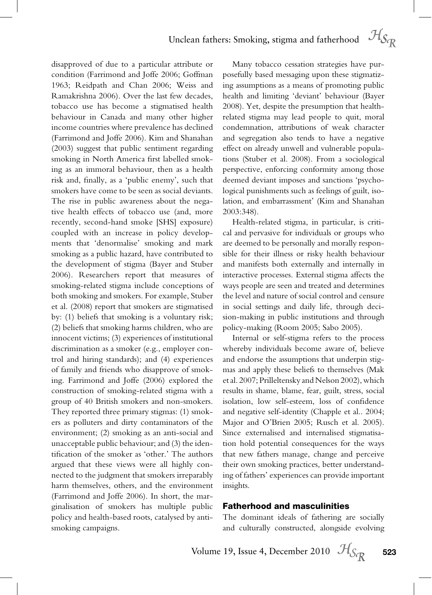disapproved of due to a particular attribute or condition (Farrimond and Joffe 2006; Goffman 1963; Reidpath and Chan 2006; Weiss and Ramakrishna 2006). Over the last few decades, tobacco use has become a stigmatised health behaviour in Canada and many other higher income countries where prevalence has declined (Farrimond and Joffe 2006). Kim and Shanahan (2003) suggest that public sentiment regarding smoking in North America first labelled smoking as an immoral behaviour, then as a health risk and, finally, as a 'public enemy', such that smokers have come to be seen as social deviants. The rise in public awareness about the negative health effects of tobacco use (and, more recently, second-hand smoke [SHS] exposure) coupled with an increase in policy developments that 'denormalise' smoking and mark smoking as a public hazard, have contributed to the development of stigma (Bayer and Stuber 2006). Researchers report that measures of smoking-related stigma include conceptions of both smoking and smokers. For example, Stuber et al. (2008) report that smokers are stigmatised by: (1) beliefs that smoking is a voluntary risk; (2) beliefs that smoking harms children, who are innocent victims; (3) experiences of institutional discrimination as a smoker (e.g., employer control and hiring standards); and (4) experiences of family and friends who disapprove of smoking. Farrimond and Joffe (2006) explored the construction of smoking-related stigma with a group of 40 British smokers and non-smokers. They reported three primary stigmas: (1) smokers as polluters and dirty contaminators of the environment; (2) smoking as an anti-social and unacceptable public behaviour; and (3) the identification of the smoker as 'other.' The authors argued that these views were all highly connected to the judgment that smokers irreparably harm themselves, others, and the environment (Farrimond and Joffe 2006). In short, the marginalisation of smokers has multiple public policy and health-based roots, catalysed by antismoking campaigns.

Many tobacco cessation strategies have purposefully based messaging upon these stigmatizing assumptions as a means of promoting public health and limiting 'deviant' behaviour (Bayer 2008). Yet, despite the presumption that healthrelated stigma may lead people to quit, moral condemnation, attributions of weak character and segregation also tends to have a negative effect on already unwell and vulnerable populations (Stuber et al. 2008). From a sociological perspective, enforcing conformity among those deemed deviant imposes and sanctions 'psychological punishments such as feelings of guilt, isolation, and embarrassment' (Kim and Shanahan 2003:348).

Health-related stigma, in particular, is critical and pervasive for individuals or groups who are deemed to be personally and morally responsible for their illness or risky health behaviour and manifests both externally and internally in interactive processes. External stigma affects the ways people are seen and treated and determines the level and nature of social control and censure in social settings and daily life, through decision-making in public institutions and through policy-making (Room 2005; Sabo 2005).

Internal or self-stigma refers to the process whereby individuals become aware of, believe and endorse the assumptions that underpin stigmas and apply these beliefs to themselves (Mak et al. 2007; Prilleltensky and Nelson 2002), which results in shame, blame, fear, guilt, stress, social isolation, low self-esteem, loss of confidence and negative self-identity (Chapple et al.. 2004; Major and O'Brien 2005; Rusch et al. 2005). Since externalised and internalised stigmatisation hold potential consequences for the ways that new fathers manage, change and perceive their own smoking practices, better understanding of fathers' experiences can provide important insights.

#### **Fatherhood and masculinities**

The dominant ideals of fathering are socially and culturally constructed, alongside evolving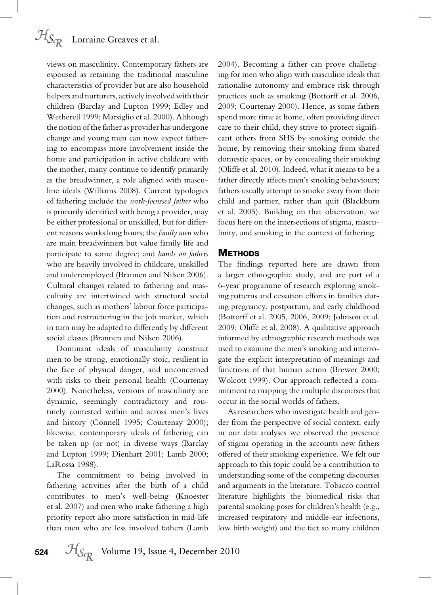views on masculinity. Contemporary fathers are espoused as retaining the traditional masculine characteristics of provider but are also household helpers and nurturers, actively involved with their children (Barclay and Lupton 1999; Edley and Wetherell 1999; Marsiglio et al. 2000). Although the notion of the father as provider has undergone change and young men can now expect fathering to encompass more involvement inside the home and participation in active childcare with the mother, many continue to identify primarily as the breadwinner, a role aligned with masculine ideals (Williams 2008). Current typologies of fathering include the *work-focussed father* who is primarily identified with being a provider, may be either professional or unskilled, but for different reasons works long hours; the *family men* who are main breadwinners but value family life and participate to some degree; and *hands on fathers* who are heavily involved in childcare, unskilled and underemployed (Brannen and Nilsen 2006). Cultural changes related to fathering and masculinity are intertwined with structural social changes, such as mothers' labour force participation and restructuring in the job market, which in turn may be adapted to differently by different social classes (Brannen and Nilsen 2006).

Dominant ideals of masculinity construct men to be strong, emotionally stoic, resilient in the face of physical danger, and unconcerned with risks to their personal health (Courtenay 2000). Nonetheless, versions of masculinity are dynamic, seemingly contradictory and routinely contested within and across men's lives and history (Connell 1995; Courtenay 2000); likewise, contemporary ideals of fathering can be taken up (or not) in diverse ways (Barclay and Lupton 1999; Dienhart 2001; Lamb 2000; LaRossa 1988).

The commitment to being involved in fathering activities after the birth of a child contributes to men's well-being (Knoester et al. 2007) and men who make fathering a high priority report also more satisfaction in mid-life than men who are less involved fathers (Lamb 2004). Becoming a father can prove challenging for men who align with masculine ideals that rationalise autonomy and embrace risk through practices such as smoking (Bottorff et al. 2006, 2009; Courtenay 2000). Hence, as some fathers spend more time at home, often providing direct care to their child, they strive to protect significant others from SHS by smoking outside the home, by removing their smoking from shared domestic spaces, or by concealing their smoking (Oliffe et al. 2010). Indeed, what it means to be a father directly affects men's smoking behaviours; fathers usually attempt to smoke away from their child and partner, rather than quit (Blackburn et al. 2005). Building on that observation, we focus here on the intersections of stigma, masculinity, and smoking in the context of fathering.

#### **METHODS**

The findings reported here are drawn from a larger ethnographic study, and are part of a 6-year programme of research exploring smoking patterns and cessation efforts in families during pregnancy, postpartum, and early childhood (Bottorff et al. 2005, 2006, 2009; Johnson et al. 2009; Oliffe et al. 2008). A qualitative approach informed by ethnographic research methods was used to examine the men's smoking and interrogate the explicit interpretation of meanings and functions of that human action (Brewer 2000; Wolcott 1999). Our approach reflected a commitment to mapping the multiple discourses that occur in the social worlds of fathers.

As researchers who investigate health and gender from the perspective of social context, early in our data analyses we observed the presence of stigma operating in the accounts new fathers offered of their smoking experience. We felt our approach to this topic could be a contribution to understanding some of the competing discourses and arguments in the literature. Tobacco control literature highlights the biomedical risks that parental smoking poses for children's health (e.g., increased respiratory and middle-ear infections, low birth weight) and the fact so many children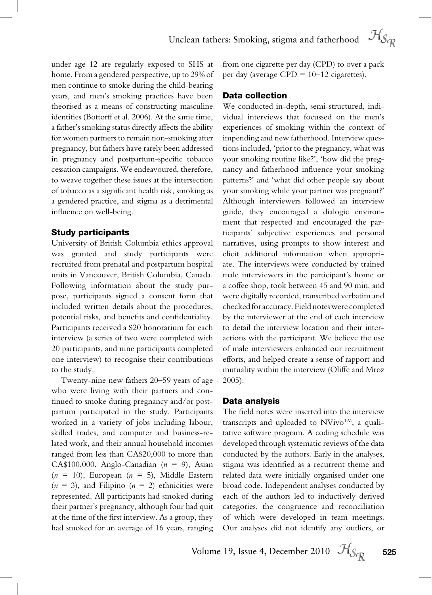under age 12 are regularly exposed to SHS at home. From a gendered perspective, up to 29% of men continue to smoke during the child-bearing years, and men's smoking practices have been theorised as a means of constructing masculine identities (Bottorff et al. 2006). At the same time, a father's smoking status directly affects the ability for women partners to remain non-smoking after pregnancy, but fathers have rarely been addressed in pregnancy and postpartum-specific tobacco cessation campaigns. We endeavoured, therefore, to weave together these issues at the intersection of tobacco as a significant health risk, smoking as a gendered practice, and stigma as a detrimental influence on well-being.

#### **Study participants**

University of British Columbia ethics approval was granted and study participants were recruited from prenatal and postpartum hospital units in Vancouver, British Columbia, Canada. Following information about the study purpose, participants signed a consent form that included written details about the procedures, potential risks, and benefits and confidentiality. Participants received a \$20 honorarium for each interview (a series of two were completed with 20 participants, and nine participants completed one interview) to recognise their contributions to the study.

Twenty-nine new fathers 20–59 years of age who were living with their partners and continued to smoke during pregnancy and/or postpartum participated in the study. Participants worked in a variety of jobs including labour, skilled trades, and computer and business-related work, and their annual household incomes ranged from less than CA\$20,000 to more than CA\$100,000. Anglo-Canadian (*n* = 9), Asian (*n* = 10), European (*n* = 5), Middle Eastern  $(n = 3)$ , and Filipino  $(n = 2)$  ethnicities were represented. All participants had smoked during their partner's pregnancy, although four had quit at the time of the first interview. As a group, they had smoked for an average of 16 years, ranging from one cigarette per day (CPD) to over a pack per day (average CPD =  $10-12$  cigarettes).

#### **Data collection**

We conducted in-depth, semi-structured, individual interviews that focussed on the men's experiences of smoking within the context of impending and new fatherhood. Interview questions included, 'prior to the pregnancy, what was your smoking routine like?', 'how did the pregnancy and fatherhood influence your smoking patterns?' and 'what did other people say about your smoking while your partner was pregnant?' Although interviewers followed an interview guide, they encouraged a dialogic environment that respected and encouraged the participants' subjective experiences and personal narratives, using prompts to show interest and elicit additional information when appropriate. The interviews were conducted by trained male interviewers in the participant's home or a coffee shop, took between 45 and 90 min, and were digitally recorded, transcribed verbatim and checked for accuracy. Field notes were completed by the interviewer at the end of each interview to detail the interview location and their interactions with the participant. We believe the use of male interviewers enhanced our recruitment efforts, and helped create a sense of rapport and mutuality within the interview (Oliffe and Mroz 2005).

#### **Data analysis**

The field notes were inserted into the interview transcripts and uploaded to NVivo<sup>TM</sup>, a qualitative software program. A coding schedule was developed through systematic reviews of the data conducted by the authors. Early in the analyses, stigma was identified as a recurrent theme and related data were initially organised under one broad code. Independent analyses conducted by each of the authors led to inductively derived categories, the congruence and reconciliation of which were developed in team meetings. Our analyses did not identify any outliers, or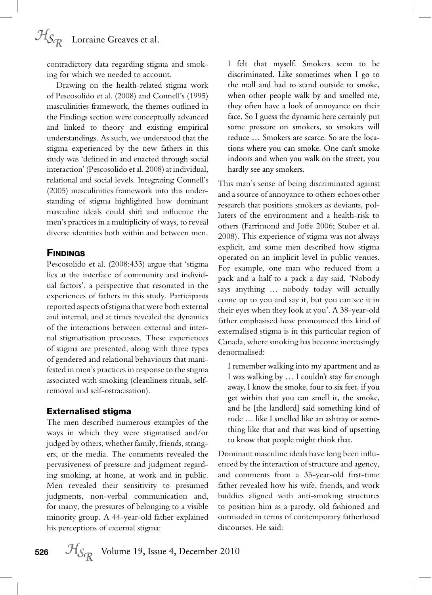contradictory data regarding stigma and smoking for which we needed to account.

Drawing on the health-related stigma work of Pescosolido et al. (2008) and Connell's (1995) masculinities framework, the themes outlined in the Findings section were conceptually advanced and linked to theory and existing empirical understandings. As such, we understood that the stigma experienced by the new fathers in this study was 'defined in and enacted through social interaction' (Pescosolido et al. 2008) at individual, relational and social levels. Integrating Connell's (2005) masculinities framework into this understanding of stigma highlighted how dominant masculine ideals could shift and influence the men's practices in a multiplicity of ways, to reveal diverse identities both within and between men.

#### **FINDINGS**

Pescosolido et al. (2008:433) argue that 'stigma lies at the interface of community and individual factors', a perspective that resonated in the experiences of fathers in this study. Participants reported aspects of stigma that were both external and internal, and at times revealed the dynamics of the interactions between external and internal stigmatisation processes. These experiences of stigma are presented, along with three types of gendered and relational behaviours that manifested in men's practices in response to the stigma associated with smoking (cleanliness rituals, selfremoval and self-ostracisation).

#### **Externalised stigma**

The men described numerous examples of the ways in which they were stigmatised and/or judged by others, whether family, friends, strangers, or the media. The comments revealed the pervasiveness of pressure and judgment regarding smoking, at home, at work and in public. Men revealed their sensitivity to presumed judgments, non-verbal communication and, for many, the pressures of belonging to a visible minority group. A 44-year-old father explained his perceptions of external stigma:

I felt that myself. Smokers seem to be discriminated. Like sometimes when I go to the mall and had to stand outside to smoke, when other people walk by and smelled me, they often have a look of annoyance on their face. So I guess the dynamic here certainly put some pressure on smokers, so smokers will reduce … Smokers are scarce. So are the locations where you can smoke. One can't smoke indoors and when you walk on the street, you hardly see any smokers.

This man's sense of being discriminated against and a source of annoyance to others echoes other research that positions smokers as deviants, polluters of the environment and a health-risk to others (Farrimond and Joffe 2006; Stuber et al. 2008). This experience of stigma was not always explicit, and some men described how stigma operated on an implicit level in public venues. For example, one man who reduced from a pack and a half to a pack a day said, 'Nobody says anything … nobody today will actually come up to you and say it, but you can see it in their eyes when they look at you'. A 38-year-old father emphasised how pronounced this kind of externalised stigma is in this particular region of Canada, where smoking has become increasingly denormalised:

I remember walking into my apartment and as I was walking by … I couldn't stay far enough away, I know the smoke, four to six feet, if you get within that you can smell it, the smoke, and he [the landlord] said something kind of rude … like I smelled like an ashtray or something like that and that was kind of upsetting to know that people might think that.

Dominant masculine ideals have long been influenced by the interaction of structure and agency, and comments from a 35-year-old first-time father revealed how his wife, friends, and work buddies aligned with anti-smoking structures to position him as a parody, old fashioned and outmoded in terms of contemporary fatherhood discourses. He said: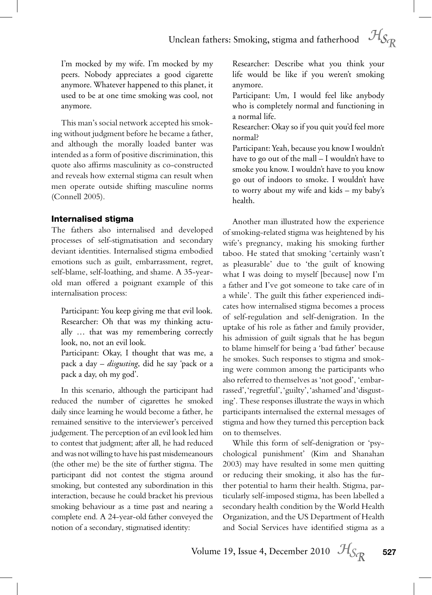I'm mocked by my wife. I'm mocked by my peers. Nobody appreciates a good cigarette anymore. Whatever happened to this planet, it used to be at one time smoking was cool, not anymore.

This man's social network accepted his smoking without judgment before he became a father, and although the morally loaded banter was intended as a form of positive discrimination, this quote also affirms masculinity as co-constructed and reveals how external stigma can result when men operate outside shifting masculine norms (Connell 2005).

#### **Internalised stigma**

The fathers also internalised and developed processes of self-stigmatisation and secondary deviant identities. Internalised stigma embodied emotions such as guilt, embarrassment, regret, self-blame, self-loathing, and shame. A 35-yearold man offered a poignant example of this internalisation process:

Participant: You keep giving me that evil look. Researcher: Oh that was my thinking actually … that was my remembering correctly look, no, not an evil look.

Participant: Okay, I thought that was me, a pack a day – *disgusting*, did he say 'pack or a pack a day, oh my god'.

In this scenario, although the participant had reduced the number of cigarettes he smoked daily since learning he would become a father, he remained sensitive to the interviewer's perceived judgement. The perception of an evil look led him to contest that judgment; after all, he had reduced and was not willing to have his past misdemeanours (the other me) be the site of further stigma. The participant did not contest the stigma around smoking, but contested any subordination in this interaction, because he could bracket his previous smoking behaviour as a time past and nearing a complete end. A 24-year-old father conveyed the notion of a secondary, stigmatised identity:

Researcher: Describe what you think your life would be like if you weren't smoking anymore.

Participant: Um, I would feel like anybody who is completely normal and functioning in a normal life.

Researcher: Okay so if you quit you'd feel more normal?

Participant: Yeah, because you know I wouldn't have to go out of the mall – I wouldn't have to smoke you know. I wouldn't have to you know go out of indoors to smoke. I wouldn't have to worry about my wife and kids – my baby's health.

Another man illustrated how the experience of smoking-related stigma was heightened by his wife's pregnancy, making his smoking further taboo. He stated that smoking 'certainly wasn't as pleasurable' due to 'the guilt of knowing what I was doing to myself [because] now I'm a father and I've got someone to take care of in a while'. The guilt this father experienced indicates how internalised stigma becomes a process of self-regulation and self-denigration. In the uptake of his role as father and family provider, his admission of guilt signals that he has begun to blame himself for being a 'bad father' because he smokes. Such responses to stigma and smoking were common among the participants who also referred to themselves as 'not good', 'embarrassed', 'regretful', 'guilty', 'ashamed' and 'disgusting'. These responses illustrate the ways in which participants internalised the external messages of stigma and how they turned this perception back on to themselves.

While this form of self-denigration or 'psychological punishment' (Kim and Shanahan 2003) may have resulted in some men quitting or reducing their smoking, it also has the further potential to harm their health. Stigma, particularly self-imposed stigma, has been labelled a secondary health condition by the World Health Organization, and the US Department of Health and Social Services have identified stigma as a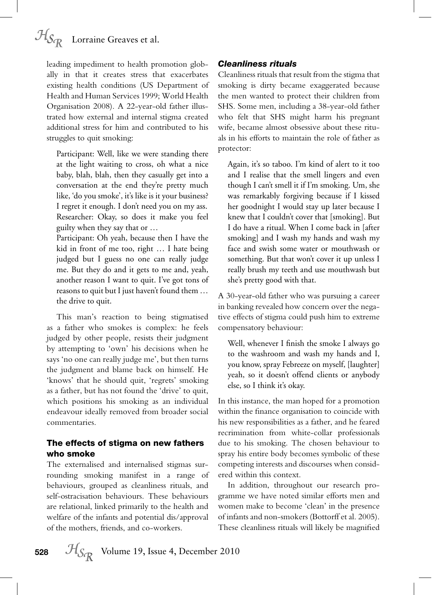leading impediment to health promotion globally in that it creates stress that exacerbates existing health conditions (US Department of Health and Human Services 1999; World Health Organisation 2008). A 22-year-old father illustrated how external and internal stigma created additional stress for him and contributed to his struggles to quit smoking:

Participant: Well, like we were standing there at the light waiting to cross, oh what a nice baby, blah, blah, then they casually get into a conversation at the end they're pretty much like, 'do you smoke', it's like is it your business? I regret it enough. I don't need you on my ass. Researcher: Okay, so does it make you feel guilty when they say that or …

Participant: Oh yeah, because then I have the kid in front of me too, right … I hate being judged but I guess no one can really judge me. But they do and it gets to me and, yeah, another reason I want to quit. I've got tons of reasons to quit but I just haven't found them … the drive to quit.

This man's reaction to being stigmatised as a father who smokes is complex: he feels judged by other people, resists their judgment by attempting to 'own' his decisions when he says 'no one can really judge me', but then turns the judgment and blame back on himself. He 'knows' that he should quit, 'regrets' smoking as a father, but has not found the 'drive' to quit, which positions his smoking as an individual endeavour ideally removed from broader social commentaries.

#### **The effects of stigma on new fathers who smoke**

The externalised and internalised stigmas surrounding smoking manifest in a range of behaviours, grouped as cleanliness rituals, and self-ostracisation behaviours. These behaviours are relational, linked primarily to the health and welfare of the infants and potential dis/approval of the mothers, friends, and co-workers.

#### *Cleanliness rituals*

Cleanliness rituals that result from the stigma that smoking is dirty became exaggerated because the men wanted to protect their children from SHS. Some men, including a 38-year-old father who felt that SHS might harm his pregnant wife, became almost obsessive about these rituals in his efforts to maintain the role of father as protector:

Again, it's so taboo. I'm kind of alert to it too and I realise that the smell lingers and even though I can't smell it if I'm smoking. Um, she was remarkably forgiving because if I kissed her goodnight I would stay up later because I knew that I couldn't cover that [smoking]. But I do have a ritual. When I come back in [after smoking] and I wash my hands and wash my face and swish some water or mouthwash or something. But that won't cover it up unless I really brush my teeth and use mouthwash but she's pretty good with that.

A 30-year-old father who was pursuing a career in banking revealed how concern over the negative effects of stigma could push him to extreme compensatory behaviour:

Well, whenever I finish the smoke I always go to the washroom and wash my hands and I, you know, spray Febreeze on myself, [laughter] yeah, so it doesn't offend clients or anybody else, so I think it's okay.

In this instance, the man hoped for a promotion within the finance organisation to coincide with his new responsibilities as a father, and he feared recrimination from white-collar professionals due to his smoking. The chosen behaviour to spray his entire body becomes symbolic of these competing interests and discourses when considered within this context.

In addition, throughout our research programme we have noted similar efforts men and women make to become 'clean' in the presence of infants and non-smokers (Bottorff et al. 2005). These cleanliness rituals will likely be magnified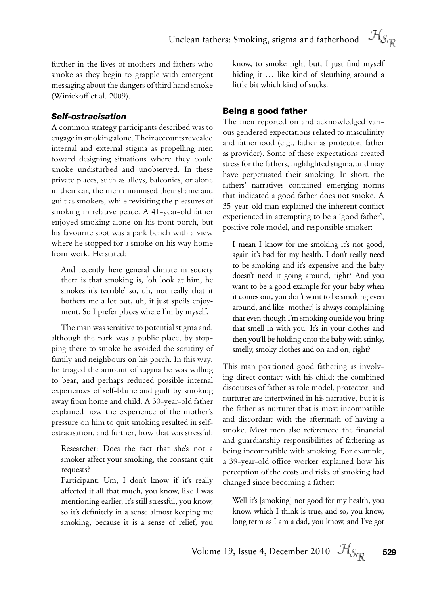further in the lives of mothers and fathers who smoke as they begin to grapple with emergent messaging about the dangers of third hand smoke (Winickoff et al. 2009).

#### *Self-ostracisation*

A common strategy participants described was to engage in smoking alone. Their accounts revealed internal and external stigma as propelling men toward designing situations where they could smoke undisturbed and unobserved. In these private places, such as alleys, balconies, or alone in their car, the men minimised their shame and guilt as smokers, while revisiting the pleasures of smoking in relative peace. A 41-year-old father enjoyed smoking alone on his front porch, but his favourite spot was a park bench with a view where he stopped for a smoke on his way home from work. He stated:

And recently here general climate in society there is that smoking is, 'oh look at him, he smokes it's terrible' so, uh, not really that it bothers me a lot but, uh, it just spoils enjoyment. So I prefer places where I'm by myself.

The man was sensitive to potential stigma and, although the park was a public place, by stopping there to smoke he avoided the scrutiny of family and neighbours on his porch. In this way, he triaged the amount of stigma he was willing to bear, and perhaps reduced possible internal experiences of self-blame and guilt by smoking away from home and child. A 30-year-old father explained how the experience of the mother's pressure on him to quit smoking resulted in selfostracisation, and further, how that was stressful:

Researcher: Does the fact that she's not a smoker affect your smoking, the constant quit requests?

Participant: Um, I don't know if it's really affected it all that much, you know, like I was mentioning earlier, it's still stressful, you know, so it's definitely in a sense almost keeping me smoking, because it is a sense of relief, you know, to smoke right but, I just find myself hiding it … like kind of sleuthing around a little bit which kind of sucks.

#### **Being a good father**

The men reported on and acknowledged various gendered expectations related to masculinity and fatherhood (e.g., father as protector, father as provider). Some of these expectations created stress for the fathers, highlighted stigma, and may have perpetuated their smoking. In short, the fathers' narratives contained emerging norms that indicated a good father does not smoke. A 35-year-old man explained the inherent conflict experienced in attempting to be a 'good father', positive role model, and responsible smoker:

I mean I know for me smoking it's not good, again it's bad for my health. I don't really need to be smoking and it's expensive and the baby doesn't need it going around, right? And you want to be a good example for your baby when it comes out, you don't want to be smoking even around, and like [mother] is always complaining that even though I'm smoking outside you bring that smell in with you. It's in your clothes and then you'll be holding onto the baby with stinky, smelly, smoky clothes and on and on, right?

This man positioned good fathering as involving direct contact with his child; the combined discourses of father as role model, protector, and nurturer are intertwined in his narrative, but it is the father as nurturer that is most incompatible and discordant with the aftermath of having a smoke. Most men also referenced the financial and guardianship responsibilities of fathering as being incompatible with smoking. For example, a 39-year-old office worker explained how his perception of the costs and risks of smoking had changed since becoming a father:

Well it's [smoking] not good for my health, you know, which I think is true, and so, you know, long term as I am a dad, you know, and I've got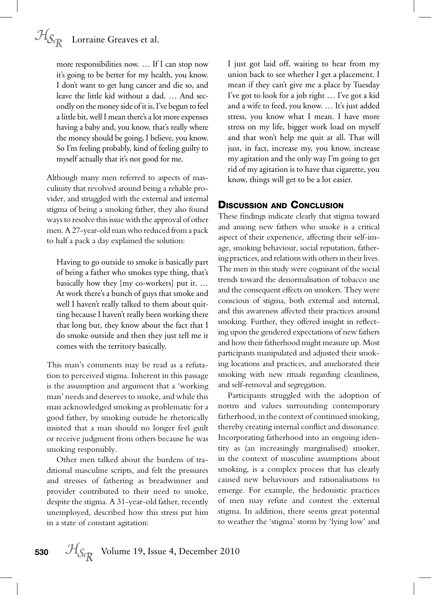more responsibilities now. … If I can stop now it's going to be better for my health, you know. I don't want to get lung cancer and die so, and leave the little kid without a dad. … And secondly on the money side of it is, I've begun to feel a little bit, well I mean there's a lot more expenses having a baby and, you know, that's really where the money should be going, I believe, you know. So I'm feeling probably, kind of feeling guilty to myself actually that it's not good for me.

Although many men referred to aspects of masculinity that revolved around being a reliable provider, and struggled with the external and internal stigma of being a smoking father, they also found ways to resolve this issue with the approval of other men. A 27-year-old man who reduced from a pack to half a pack a day explained the solution:

Having to go outside to smoke is basically part of being a father who smokes type thing, that's basically how they [my co-workers] put it. … At work there's a bunch of guys that smoke and well I haven't really talked to them about quitting because I haven't really been working there that long but, they know about the fact that I do smoke outside and then they just tell me it comes with the territory basically.

This man's comments may be read as a refutation to perceived stigma. Inherent in this passage is the assumption and argument that a 'working man' needs and deserves to smoke, and while this man acknowledged smoking as problematic for a good father, by smoking outside he rhetorically insisted that a man should no longer feel guilt or receive judgment from others because he was smoking responsibly.

Other men talked about the burdens of traditional masculine scripts, and felt the pressures and stresses of fathering as breadwinner and provider contributed to their need to smoke, despite the stigma. A 31-year-old father, recently unemployed, described how this stress put him in a state of constant agitation:

I just got laid off, waiting to hear from my union back to see whether I get a placement. I mean if they can't give me a place by Tuesday I've got to look for a job right … I've got a kid and a wife to feed, you know. … It's just added stress, you know what I mean. I have more stress on my life, bigger work load on myself and that won't help me quit at all. That will just, in fact, increase my, you know, increase my agitation and the only way I'm going to get rid of my agitation is to have that cigarette, you know, things will get to be a lot easier.

#### **DISCUSSION AND CONCLUSION**

These findings indicate clearly that stigma toward and among new fathers who smoke is a critical aspect of their experience, affecting their self-image, smoking behaviour, social reputation, fathering practices, and relations with others in their lives. The men in this study were cognisant of the social trends toward the denormalisation of tobacco use and the consequent effects on smokers. They were conscious of stigma, both external and internal, and this awareness affected their practices around smoking. Further, they offered insight in reflecting upon the gendered expectations of new fathers and how their fatherhood might measure up. Most participants manipulated and adjusted their smoking locations and practices, and ameliorated their smoking with new rituals regarding cleanliness, and self-removal and segregation.

Participants struggled with the adoption of norms and values surrounding contemporary fatherhood, in the context of continued smoking, thereby creating internal conflict and dissonance. Incorporating fatherhood into an ongoing identity as (an increasingly marginalised) smoker, in the context of masculine assumptions about smoking, is a complex process that has clearly caused new behaviours and rationalisations to emerge. For example, the hedonistic practices of men may refute and contest the external stigma. In addition, there seems great potential to weather the 'stigma' storm by 'lying low' and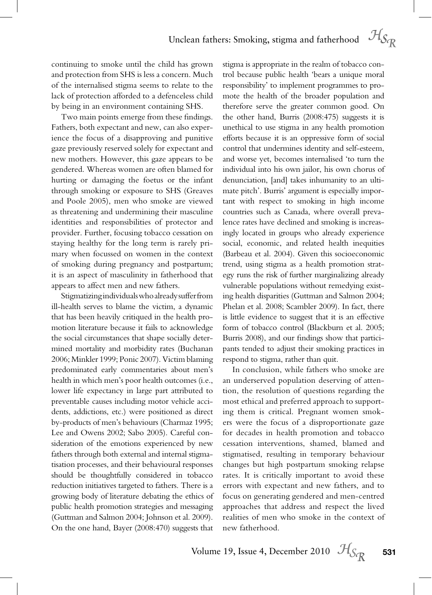continuing to smoke until the child has grown and protection from SHS is less a concern. Much of the internalised stigma seems to relate to the lack of protection afforded to a defenceless child by being in an environment containing SHS.

Two main points emerge from these findings. Fathers, both expectant and new, can also experience the focus of a disapproving and punitive gaze previously reserved solely for expectant and new mothers. However, this gaze appears to be gendered. Whereas women are often blamed for hurting or damaging the foetus or the infant through smoking or exposure to SHS (Greaves and Poole 2005), men who smoke are viewed as threatening and undermining their masculine identities and responsibilities of protector and provider. Further, focusing tobacco cessation on staying healthy for the long term is rarely primary when focussed on women in the context of smoking during pregnancy and postpartum; it is an aspect of masculinity in fatherhood that appears to affect men and new fathers.

Stigmatizing individuals who already suffer from ill-health serves to blame the victim, a dynamic that has been heavily critiqued in the health promotion literature because it fails to acknowledge the social circumstances that shape socially determined mortality and morbidity rates (Buchanan 2006; Minkler 1999; Ponic 2007). Victim blaming predominated early commentaries about men's health in which men's poor health outcomes (i.e., lower life expectancy in large part attributed to preventable causes including motor vehicle accidents, addictions, etc.) were positioned as direct by-products of men's behaviours (Charmaz 1995; Lee and Owens 2002; Sabo 2005). Careful consideration of the emotions experienced by new fathers through both external and internal stigmatisation processes, and their behavioural responses should be thoughtfully considered in tobacco reduction initiatives targeted to fathers. There is a growing body of literature debating the ethics of public health promotion strategies and messaging (Guttman and Salmon 2004; Johnson et al. 2009). On the one hand, Bayer (2008:470) suggests that

stigma is appropriate in the realm of tobacco control because public health 'bears a unique moral responsibility' to implement programmes to promote the health of the broader population and therefore serve the greater common good. On the other hand, Burris (2008:475) suggests it is unethical to use stigma in any health promotion efforts because it is an oppressive form of social control that undermines identity and self-esteem, and worse yet, becomes internalised 'to turn the individual into his own jailor, his own chorus of denunciation, [and] takes inhumanity to an ultimate pitch'. Burris' argument is especially important with respect to smoking in high income countries such as Canada, where overall prevalence rates have declined and smoking is increasingly located in groups who already experience social, economic, and related health inequities (Barbeau et al. 2004). Given this socioeconomic trend, using stigma as a health promotion strategy runs the risk of further marginalizing already vulnerable populations without remedying existing health disparities (Guttman and Salmon 2004; Phelan et al. 2008; Scambler 2009). In fact, there is little evidence to suggest that it is an effective form of tobacco control (Blackburn et al. 2005; Burris 2008), and our findings show that participants tended to adjust their smoking practices in respond to stigma, rather than quit.

In conclusion, while fathers who smoke are an underserved population deserving of attention, the resolution of questions regarding the most ethical and preferred approach to supporting them is critical. Pregnant women smokers were the focus of a disproportionate gaze for decades in health promotion and tobacco cessation interventions, shamed, blamed and stigmatised, resulting in temporary behaviour changes but high postpartum smoking relapse rates. It is critically important to avoid these errors with expectant and new fathers, and to focus on generating gendered and men-centred approaches that address and respect the lived realities of men who smoke in the context of new fatherhood.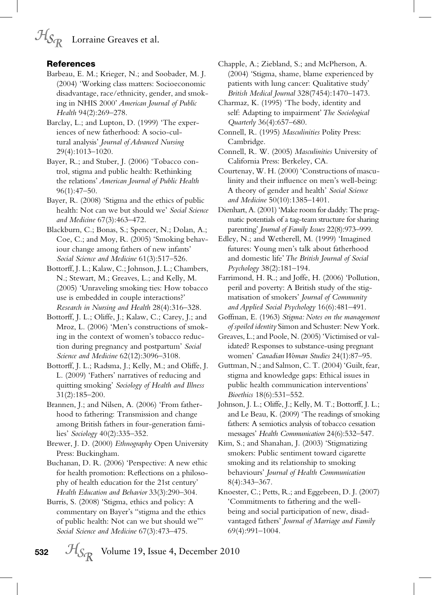#### **References**

- Barbeau, E. M.; Krieger, N.; and Soobader, M. J. (2004) 'Working class matters: Socioeconomic disadvantage, race/ethnicity, gender, and smoking in NHIS 2000' *American Journal of Public Health* 94(2):269–278.
- Barclay, L.; and Lupton, D. (1999) 'The experiences of new fatherhood: A socio-cultural analysis' *Journal of Advanced Nursing*  29(4):1013–1020.
- Bayer, R.; and Stuber, J. (2006) 'Tobacco control, stigma and public health: Rethinking the relations' *American Journal of Public Health*  96(1):47–50.
- Bayer, R. (2008) 'Stigma and the ethics of public health: Not can we but should we' *Social Science and Medicine* 67(3):463–472.
- Blackburn, C.; Bonas, S.; Spencer, N.; Dolan, A.; Coe, C.; and Moy, R. (2005) 'Smoking behaviour change among fathers of new infants' *Social Science and Medicine* 61(3):517–526.
- Bottorff, J. L.; Kalaw, C.; Johnson, J. L.; Chambers, N.; Stewart, M.; Greaves, L.; and Kelly, M. (2005) 'Unraveling smoking ties: How tobacco use is embedded in couple interactions?' *Research in Nursing and Health* 28(4):316–328.
- Bottorff, J. L.; Oliffe, J.; Kalaw, C.; Carey, J.; and Mroz, L. (2006) 'Men's constructions of smoking in the context of women's tobacco reduction during pregnancy and postpartum' *Social Science and Medicine* 62(12):3096–3108.
- Bottorff, J. L.; Radsma, J.; Kelly, M.; and Oliffe, J. L. (2009) 'Fathers' narratives of reducing and quitting smoking' *Sociology of Health and Illness*  31(2):185–200.
- Brannen, J.; and Nilsen, A. (2006) 'From fatherhood to fathering: Transmission and change among British fathers in four-generation families' *Sociology* 40(2):335–352.
- Brewer, J. D. (2000) *Ethnography* Open University Press: Buckingham.
- Buchanan, D. R. (2006) 'Perspective: A new ethic for health promotion: Reflections on a philosophy of health education for the 21st century' *Health Education and Behavior* 33(3):290–304.
- Burris, S. (2008) 'Stigma, ethics and policy: A commentary on Bayer's "stigma and the ethics of public health: Not can we but should we"' *Social Science and Medicine* 67(3):473–475.
- Chapple, A.; Ziebland, S.; and McPherson, A. (2004) 'Stigma, shame, blame experienced by patients with lung cancer: Qualitative study' *British Medical Journal* 328(7454):1470–1473.
- Charmaz, K. (1995) 'The body, identity and self: Adapting to impairment' *The Sociological Quarterly* 36(4):657–680.
- Connell, R. (1995) *Masculinities* Polity Press: Cambridge.
- Connell, R. W. (2005) *Masculinities* University of California Press: Berkeley, CA.
- Courtenay, W. H. (2000) 'Constructions of masculinity and their influence on men's well-being: A theory of gender and health' *Social Science and Medicine* 50(10):1385–1401.
- Dienhart, A. (2001) 'Make room for daddy: The pragmatic potentials of a tag-team structure for sharing parenting' *Journal of Family Issues* 22(8):973–999.
- Edley, N.; and Wetherell, M. (1999) 'Imagined futures: Young men's talk about fatherhood and domestic life' *The British Journal of Social Psychology* 38(2):181–194.
- Farrimond, H. R.; and Joffe, H. (2006) 'Pollution, peril and poverty: A British study of the stigmatisation of smokers' *Journal of Community and Applied Social Psychology* 16(6):481–491.
- Goffman, E. (1963) *Stigma: Notes on the management of spoiled identity* Simon and Schuster: New York.
- Greaves, L.; and Poole, N. (2005) 'Victimised or validated? Responses to substance-using pregnant women' *Canadian Woman Studies* 24(1):87–95.
- Guttman, N.; and Salmon, C. T. (2004) 'Guilt, fear, stigma and knowledge gaps: Ethical issues in public health communication interventions' *Bioethics* 18(6):531–552.
- Johnson, J. L.; Oliffe, J.; Kelly, M. T.; Bottorff, J. L.; and Le Beau, K. (2009) 'The readings of smoking fathers: A semiotics analysis of tobacco cessation messages' *Health Communication* 24(6):532–547*.*
- Kim, S.; and Shanahan, J. (2003) 'Stigmatizing smokers: Public sentiment toward cigarette smoking and its relationship to smoking behaviours' *Journal of Health Communication*  8(4):343–367.
- Knoester, C.; Petts, R.; and Eggebeen, D. J. (2007) 'Commitments to fathering and the wellbeing and social participation of new, disadvantaged fathers' *Journal of Marriage and Family* 69(4):991–1004.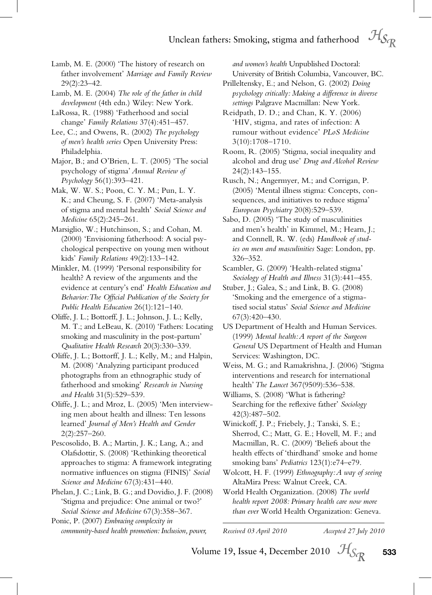

Lamb, M. E. (2004) *The role of the father in child development* (4th edn.) Wiley: New York.

LaRossa, R. (1988) 'Fatherhood and social change' *Family Relations* 37(4):451–457.

Lee, C.; and Owens, R. (2002) *The psychology of men's health series* Open University Press: Philadelphia.

Major, B.; and O'Brien, L. T. (2005) 'The social psychology of stigma' *Annual Review of Psychology* 56(1):393–421.

Mak, W. W. S.; Poon, C. Y. M.; Pun, L. Y. K.; and Cheung, S. F. (2007) 'Meta-analysis of stigma and mental health' *Social Science and Medicine* 65(2):245–261.

Marsiglio, W.; Hutchinson, S.; and Cohan, M. (2000) 'Envisioning fatherhood: A social psychological perspective on young men without kids' *Family Relations* 49(2):133–142.

Minkler, M. (1999) 'Personal responsibility for health? A review of the arguments and the evidence at century's end' *Health Education and Behavior: The Official Publication of the Society for Public Health Education* 26(1):121–140.

Oliffe, J. L.; Bottorff, J. L.; Johnson, J. L.; Kelly, M. T.; and LeBeau, K. (2010) 'Fathers: Locating smoking and masculinity in the post-partum' *Qualitative Health Research* 20(3):330–339.

Oliffe, J. L.; Bottorff, J. L.; Kelly, M.; and Halpin, M. (2008) 'Analyzing participant produced photographs from an ethnographic study of fatherhood and smoking' *Research in Nursing and Health* 31(5):529–539.

Oliffe, J. L.; and Mroz, L. (2005) 'Men interviewing men about health and illness: Ten lessons learned' *Journal of Men's Health and Gender*  2(2):257–260.

Pescosolido, B. A.; Martin, J. K.; Lang, A.; and Olafsdottir, S. (2008) 'Rethinking theoretical approaches to stigma: A framework integrating normative influences on stigma (FINIS)' Social *Science and Medicine* 67(3):431–440.

Phelan, J. C.; Link, B. G.; and Dovidio, J. F. (2008) 'Stigma and prejudice: One animal or two?' *Social Science and Medicine* 67(3):358–367.

Ponic, P. (2007) *Embracing complexity in community-based health promotion: Inclusion, power,*  *and women's health* Unpublished Doctoral: University of British Columbia, Vancouver, BC.

Prilleltensky, E.; and Nelson, G. (2002) *Doing psychology critically: Making a difference in diverse settings* Palgrave Macmillan: New York.

Reidpath, D. D.; and Chan, K. Y. (2006) 'HIV, stigma, and rates of infection: A rumour without evidence' *PLoS Medicine*  3(10):1708–1710.

Room, R. (2005) 'Stigma, social inequality and alcohol and drug use' *Drug and Alcohol Review*  24(2):143–155.

Rusch, N.; Angermyer, M.; and Corrigan, P. (2005) 'Mental illness stigma: Concepts, consequences, and initiatives to reduce stigma' *European Psychiatry* 20(8):529–539.

Sabo, D. (2005) 'The study of masculinities and men's health' in Kimmel, M.; Hearn, J.; and Connell, R. W. (eds) *Handbook of studies on men and masculinities* Sage: London, pp. 326–352.

Scambler, G. (2009) 'Health-related stigma' *Sociology of Health and Illness* 31(3):441–455.

Stuber, J.; Galea, S.; and Link, B. G. (2008) 'Smoking and the emergence of a stigmatised social status' *Social Science and Medicine*  67(3):420–430.

US Department of Health and Human Services. (1999) *Mental health: A report of the Surgeon General* US Department of Health and Human Services: Washington, DC.

Weiss, M. G.; and Ramakrishna, J. (2006) 'Stigma interventions and research for international health' *The Lancet* 367(9509):536–538.

Williams, S. (2008) 'What is fathering? Searching for the reflexive father' *Sociology* 42(3):487–502.

Winickoff, J. P.; Friebely, J.; Tanski, S. E.; Sherrod, C.; Matt, G. E.; Hovell, M. F.; and Macmillan, R. C. (2009) 'Beliefs about the health effects of 'thirdhand' smoke and home smoking bans' *Pediatrics* 123(1):e74–e79.

Wolcott, H. F. (1999) *Ethnography: A way of seeing* AltaMira Press: Walnut Creek, CA.

World Health Organization. (2008) *The world health report 2008: Primary health care now more than ever* World Health Organization: Geneva.

*Received 03 April 2010 Accepted 27 July 2010*

Volume 19, Issue 4, December 2010  $\mathcal{H}_{S_{\mathcal{R}}}$  533